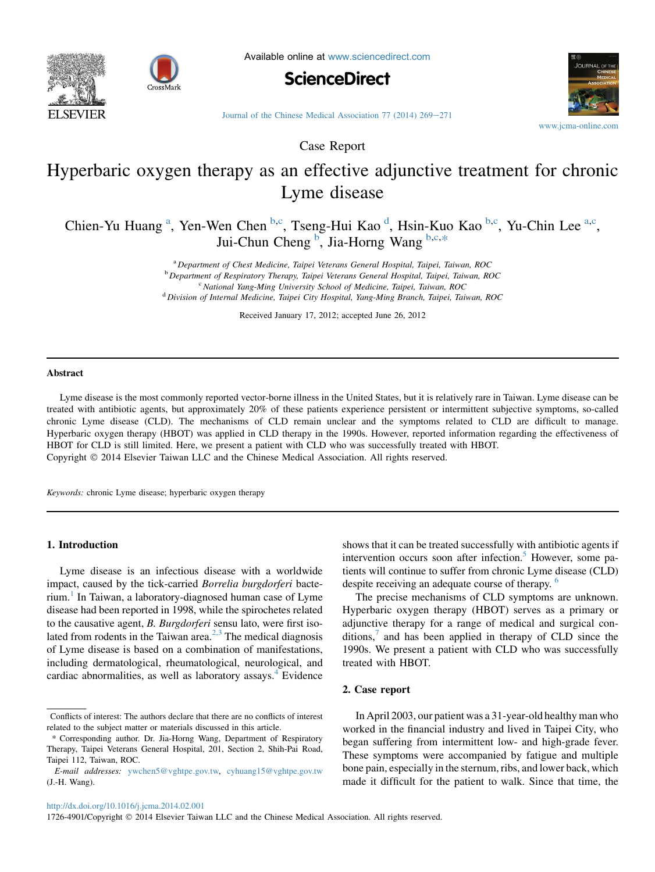



Available online at [www.sciencedirect.com](www.sciencedirect.com/science/journal/17264901)





[Journal of the Chinese Medical Association 77 \(2014\) 269](http://dx.doi.org/10.1016/j.jcma.2014.02.001)-[271](http://dx.doi.org/10.1016/j.jcma.2014.02.001)

Case Report

# Hyperbaric oxygen therapy as an effective adjunctive treatment for chronic Lyme disease

Chien-Yu Huang<sup>a</sup>, Yen-Wen Chen<sup>b,c</sup>, Tseng-Hui Kao<sup>d</sup>, Hsin-Kuo Kao<sup>b,c</sup>, Yu-Chin Lee<sup>a,c</sup>, Jui-Chun Cheng <sup>b</sup>, Jia-Horng Wang b,c,\*

> <sup>a</sup> Department of Chest Medicine, Taipei Veterans General Hospital, Taipei, Taiwan, ROC <sup>b</sup> Department of Respiratory Therapy, Taipei Veterans General Hospital, Taipei, Taiwan, ROC  $c$  National Yang-Ming University School of Medicine, Taipei, Taiwan, ROC <sup>d</sup> Division of Internal Medicine, Taipei City Hospital, Yang-Ming Branch, Taipei, Taiwan, ROC

> > Received January 17, 2012; accepted June 26, 2012

#### Abstract

Lyme disease is the most commonly reported vector-borne illness in the United States, but it is relatively rare in Taiwan. Lyme disease can be treated with antibiotic agents, but approximately 20% of these patients experience persistent or intermittent subjective symptoms, so-called chronic Lyme disease (CLD). The mechanisms of CLD remain unclear and the symptoms related to CLD are difficult to manage. Hyperbaric oxygen therapy (HBOT) was applied in CLD therapy in the 1990s. However, reported information regarding the effectiveness of HBOT for CLD is still limited. Here, we present a patient with CLD who was successfully treated with HBOT. Copyright 2014 Elsevier Taiwan LLC and the Chinese Medical Association. All rights reserved.

Keywords: chronic Lyme disease; hyperbaric oxygen therapy

#### 1. Introduction

Lyme disease is an infectious disease with a worldwide impact, caused by the tick-carried Borrelia burgdorferi bacterium.[1](#page-2-0) In Taiwan, a laboratory-diagnosed human case of Lyme disease had been reported in 1998, while the spirochetes related to the causative agent, B. Burgdorferi sensu lato, were first iso-lated from rodents in the Taiwan area.<sup>[2,3](#page-2-0)</sup> The medical diagnosis of Lyme disease is based on a combination of manifestations, including dermatological, rheumatological, neurological, and cardiac abnormalities, as well as laboratory assays.<sup>[4](#page-2-0)</sup> Evidence shows that it can be treated successfully with antibiotic agents if intervention occurs soon after infection.<sup>5</sup> However, some patients will continue to suffer from chronic Lyme disease (CLD) despite receiving an adequate course of therapy. <sup>[6](#page-2-0)</sup>

The precise mechanisms of CLD symptoms are unknown. Hyperbaric oxygen therapy (HBOT) serves as a primary or adjunctive therapy for a range of medical and surgical conditions, $\alpha$  and has been applied in therapy of CLD since the 1990s. We present a patient with CLD who was successfully treated with HBOT.

#### 2. Case report

In April 2003, our patient was a 31-year-old healthy man who worked in the financial industry and lived in Taipei City, who began suffering from intermittent low- and high-grade fever. These symptoms were accompanied by fatigue and multiple bone pain, especially in the sternum, ribs, and lower back, which made it difficult for the patient to walk. Since that time, the

Conflicts of interest: The authors declare that there are no conflicts of interest related to the subject matter or materials discussed in this article.

<sup>\*</sup> Corresponding author. Dr. Jia-Horng Wang, Department of Respiratory Therapy, Taipei Veterans General Hospital, 201, Section 2, Shih-Pai Road, Taipei 112, Taiwan, ROC.

E-mail addresses: [ywchen5@vghtpe.gov.tw,](mailto:ywchen5@vghtpe.gov.tw) [cyhuang15@vghtpe.gov.tw](mailto:cyhuang15@vghtpe.gov.tw) (J.-H. Wang).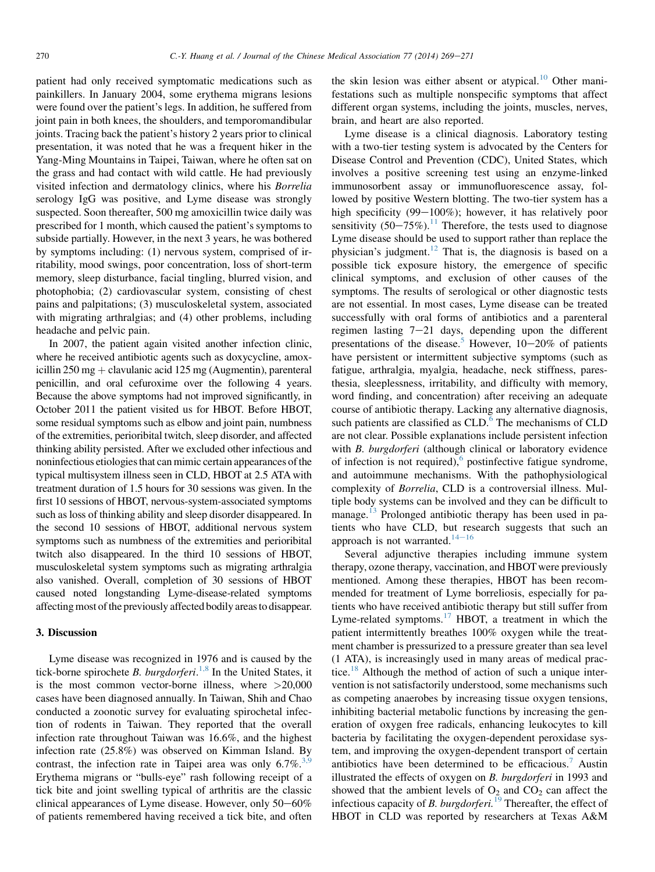patient had only received symptomatic medications such as painkillers. In January 2004, some erythema migrans lesions were found over the patient's legs. In addition, he suffered from joint pain in both knees, the shoulders, and temporomandibular joints. Tracing back the patient's history 2 years prior to clinical presentation, it was noted that he was a frequent hiker in the Yang-Ming Mountains in Taipei, Taiwan, where he often sat on the grass and had contact with wild cattle. He had previously visited infection and dermatology clinics, where his Borrelia serology IgG was positive, and Lyme disease was strongly suspected. Soon thereafter, 500 mg amoxicillin twice daily was prescribed for 1 month, which caused the patient's symptoms to subside partially. However, in the next 3 years, he was bothered by symptoms including: (1) nervous system, comprised of irritability, mood swings, poor concentration, loss of short-term memory, sleep disturbance, facial tingling, blurred vision, and photophobia; (2) cardiovascular system, consisting of chest pains and palpitations; (3) musculoskeletal system, associated with migrating arthralgias; and (4) other problems, including headache and pelvic pain.

In 2007, the patient again visited another infection clinic, where he received antibiotic agents such as doxycycline, amoxicillin  $250 \text{ mg} + \text{clavulanic acid} 125 \text{ mg}$  (Augmentin), parenteral penicillin, and oral cefuroxime over the following 4 years. Because the above symptoms had not improved significantly, in October 2011 the patient visited us for HBOT. Before HBOT, some residual symptoms such as elbow and joint pain, numbness of the extremities, perioribital twitch, sleep disorder, and affected thinking ability persisted. After we excluded other infectious and noninfectious etiologies that can mimic certain appearances of the typical multisystem illness seen in CLD, HBOT at 2.5 ATA with treatment duration of 1.5 hours for 30 sessions was given. In the first 10 sessions of HBOT, nervous-system-associated symptoms such as loss of thinking ability and sleep disorder disappeared. In the second 10 sessions of HBOT, additional nervous system symptoms such as numbness of the extremities and perioribital twitch also disappeared. In the third 10 sessions of HBOT, musculoskeletal system symptoms such as migrating arthralgia also vanished. Overall, completion of 30 sessions of HBOT caused noted longstanding Lyme-disease-related symptoms affecting most of the previously affected bodily areas to disappear.

## 3. Discussion

Lyme disease was recognized in 1976 and is caused by the tick-borne spirochete B. burgdorferi.<sup>[1,8](#page-2-0)</sup> In the United States, it is the most common vector-borne illness, where  $>20,000$ cases have been diagnosed annually. In Taiwan, Shih and Chao conducted a zoonotic survey for evaluating spirochetal infection of rodents in Taiwan. They reported that the overall infection rate throughout Taiwan was 16.6%, and the highest infection rate (25.8%) was observed on Kimman Island. By contrast, the infection rate in Taipei area was only  $6.7\%$ <sup>[3,9](#page-2-0)</sup> Erythema migrans or "bulls-eye" rash following receipt of a tick bite and joint swelling typical of arthritis are the classic clinical appearances of Lyme disease. However, only  $50-60\%$ of patients remembered having received a tick bite, and often the skin lesion was either absent or atypical.<sup>[10](#page-2-0)</sup> Other manifestations such as multiple nonspecific symptoms that affect different organ systems, including the joints, muscles, nerves, brain, and heart are also reported.

Lyme disease is a clinical diagnosis. Laboratory testing with a two-tier testing system is advocated by the Centers for Disease Control and Prevention (CDC), United States, which involves a positive screening test using an enzyme-linked immunosorbent assay or immunofluorescence assay, followed by positive Western blotting. The two-tier system has a high specificity  $(99-100\%)$ ; however, it has relatively poor sensitivity  $(50-75\%)$ .<sup>[11](#page-2-0)</sup> Therefore, the tests used to diagnose Lyme disease should be used to support rather than replace the physician's judgment.<sup>12</sup> That is, the diagnosis is based on a possible tick exposure history, the emergence of specific clinical symptoms, and exclusion of other causes of the symptoms. The results of serological or other diagnostic tests are not essential. In most cases, Lyme disease can be treated successfully with oral forms of antibiotics and a parenteral regimen lasting  $7-21$  days, depending upon the different presentations of the disease.<sup>[5](#page-2-0)</sup> However,  $10-20\%$  of patients have persistent or intermittent subjective symptoms (such as fatigue, arthralgia, myalgia, headache, neck stiffness, paresthesia, sleeplessness, irritability, and difficulty with memory, word finding, and concentration) after receiving an adequate course of antibiotic therapy. Lacking any alternative diagnosis, such patients are classified as  $CLD$ .<sup>[6](#page-2-0)</sup> The mechanisms of  $CLD$ are not clear. Possible explanations include persistent infection with *B. burgdorferi* (although clinical or laboratory evidence of infection is not required), $6$  postinfective fatigue syndrome, and autoimmune mechanisms. With the pathophysiological complexity of Borrelia, CLD is a controversial illness. Multiple body systems can be involved and they can be difficult to manage.<sup>[13](#page-2-0)</sup> Prolonged antibiotic therapy has been used in patients who have CLD, but research suggests that such an approach is not warranted. $14-16$  $14-16$  $14-16$ 

Several adjunctive therapies including immune system therapy, ozone therapy, vaccination, and HBOT were previously mentioned. Among these therapies, HBOT has been recommended for treatment of Lyme borreliosis, especially for patients who have received antibiotic therapy but still suffer from Lyme-related symptoms.<sup>[17](#page-2-0)</sup> HBOT, a treatment in which the patient intermittently breathes 100% oxygen while the treatment chamber is pressurized to a pressure greater than sea level (1 ATA), is increasingly used in many areas of medical prac-tice.<sup>[18](#page-2-0)</sup> Although the method of action of such a unique intervention is not satisfactorily understood, some mechanisms such as competing anaerobes by increasing tissue oxygen tensions, inhibiting bacterial metabolic functions by increasing the generation of oxygen free radicals, enhancing leukocytes to kill bacteria by facilitating the oxygen-dependent peroxidase system, and improving the oxygen-dependent transport of certain antibiotics have been determined to be efficacious.<sup>[7](#page-2-0)</sup> Austin illustrated the effects of oxygen on B. burgdorferi in 1993 and showed that the ambient levels of  $O_2$  and  $CO_2$  can affect the infectious capacity of B. burgdorferi.<sup>[19](#page-2-0)</sup> Thereafter, the effect of HBOT in CLD was reported by researchers at Texas A&M